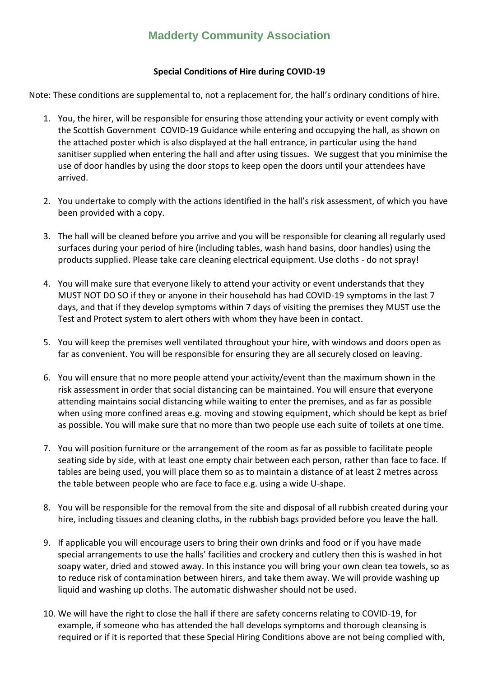## **Madderty Community Association**

## **Special Conditions of Hire during COVID-19**

Note: These conditions are supplemental to, not a replacement for, the hall's ordinary conditions of hire.

- 1. You, the hirer, will be responsible for ensuring those attending your activity or event comply with the Scottish Government COVID-19 Guidance while entering and occupying the hall, as shown on the attached poster which is also displayed at the hall entrance, in particular using the hand sanitiser supplied when entering the hall and after using tissues. We suggest that you minimise the use of door handles by using the door stops to keep open the doors until your attendees have arrived.
- 2. You undertake to comply with the actions identified in the hall's risk assessment, of which you have been provided with a copy.
- 3. The hall will be cleaned before you arrive and you will be responsible for cleaning all regularly used surfaces during your period of hire (including tables, wash hand basins, door handles) using the products supplied. Please take care cleaning electrical equipment. Use cloths - do not spray!
- 4. You will make sure that everyone likely to attend your activity or event understands that they MUST NOT DO SO if they or anyone in their household has had COVID-19 symptoms in the last 7 days, and that if they develop symptoms within 7 days of visiting the premises they MUST use the Test and Protect system to alert others with whom they have been in contact.
- 5. You will keep the premises well ventilated throughout your hire, with windows and doors open as far as convenient. You will be responsible for ensuring they are all securely closed on leaving.
- 6. You will ensure that no more people attend your activity/event than the maximum shown in the risk assessment in order that social distancing can be maintained. You will ensure that everyone attending maintains social distancing while waiting to enter the premises, and as far as possible when using more confined areas e.g. moving and stowing equipment, which should be kept as brief as possible. You will make sure that no more than two people use each suite of toilets at one time.
- 7. You will position furniture or the arrangement of the room as far as possible to facilitate people seating side by side, with at least one empty chair between each person, rather than face to face. If tables are being used, you will place them so as to maintain a distance of at least 2 metres across the table between people who are face to face e.g. using a wide U-shape.
- 8. You will be responsible for the removal from the site and disposal of all rubbish created during your hire, including tissues and cleaning cloths, in the rubbish bags provided before you leave the hall.
- 9. If applicable you will encourage users to bring their own drinks and food or if you have made special arrangements to use the halls' facilities and crockery and cutlery then this is washed in hot soapy water, dried and stowed away. In this instance you will bring your own clean tea towels, so as to reduce risk of contamination between hirers, and take them away. We will provide washing up liquid and washing up cloths. The automatic dishwasher should not be used.
- 10. We will have the right to close the hall if there are safety concerns relating to COVID-19, for example, if someone who has attended the hall develops symptoms and thorough cleansing is required or if it is reported that these Special Hiring Conditions above are not being complied with,